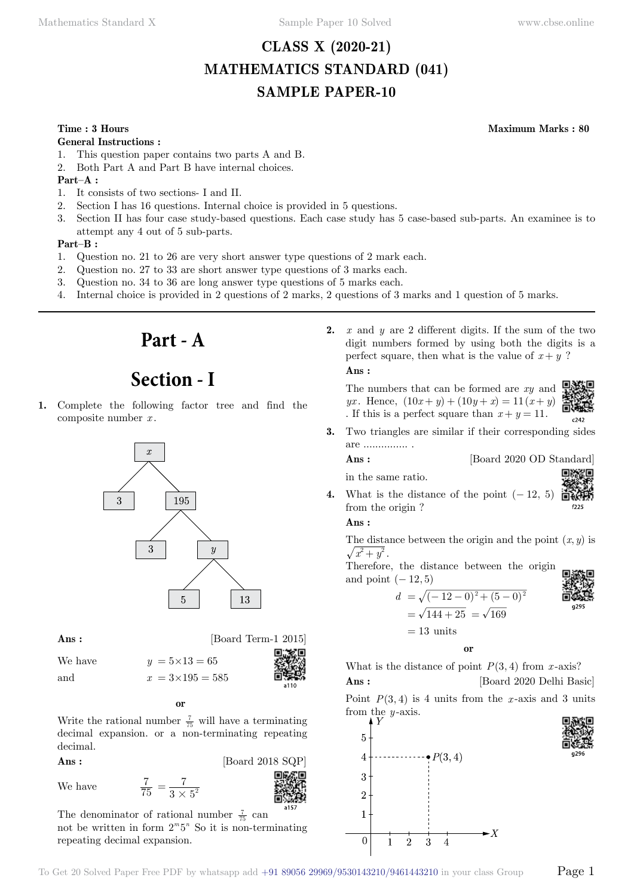# **CLASS X (2020-21) MATHEMATICS STANDARD (041) SAMPLE PAPER-10**

### **Time : 3 Hours Maximum Marks : 80**

#### **General Instructions :**

- 1. This question paper contains two parts A and B.
- 2. Both Part A and Part B have internal choices.

### **Part–A :**

- 1. It consists of two sections- I and II.
- 2. Section I has 16 questions. Internal choice is provided in 5 questions.
- 3. Section II has four case study-based questions. Each case study has 5 case-based sub-parts. An examinee is to attempt any 4 out of 5 sub-parts.

#### **Part–B :**

- 1. Question no. 21 to 26 are very short answer type questions of 2 mark each.
- 2. Question no. 27 to 33 are short answer type questions of 3 marks each.
- 3. Question no. 34 to 36 are long answer type questions of 5 marks each.
- 4. Internal choice is provided in 2 questions of 2 marks, 2 questions of 3 marks and 1 question of 5 marks.



# **Section - I**

**1.** Complete the following factor tree and find the composite number *x* .



**Ans :** [Board Term-1 2015]

We have  $y = 5 \times 13 = 65$ and  $x = 3 \times 195 = 585$ 

 **o**

Write the rational number  $\frac{7}{75}$  will have a terminating decimal expansion. or a non-terminating repeating decimal.

**Ans :** [Board 2018 SQP]

We have

7  $3 \times 5$  $=\frac{7}{3\times 5^2}$ 

The denominator of rational number  $\frac{7}{75}$  can not be written in form  $2^m 5^n$  So it is non-terminating repeating decimal expansion.

**2.** *x* and *y* are 2 different digits. If the sum of the two digit numbers formed by using both the digits is a perfect square, then what is the value of  $x + y$ ?  **Ans :**

The numbers that can be formed are *xy* and *yx*. Hence,  $(10x + y) + (10y + x) = 11(x + y)$ . If this is a perfect square than  $x + y = 11$ .



**3.** Two triangles are similar if their corresponding sides are ............... .

**Ans :** [Board 2020 OD Standard]

in the same ratio.



**4.** What is the distance of the point  $(-12, 5)$ from the origin ?

# **Ans :**

The distance between the origin and the point  $(x, y)$  is  $\sqrt{x^2+y^2}$ .

Therefore, the distance between the origin and point  $(-12, 5)$ 





 **o**

What is the distance of point  $P(3, 4)$  from *x*-axis?  **Ans :** [Board 2020 Delhi Basic]

Point  $P(3, 4)$  is 4 units from the *x*-axis and 3 units from the *y* -axis.

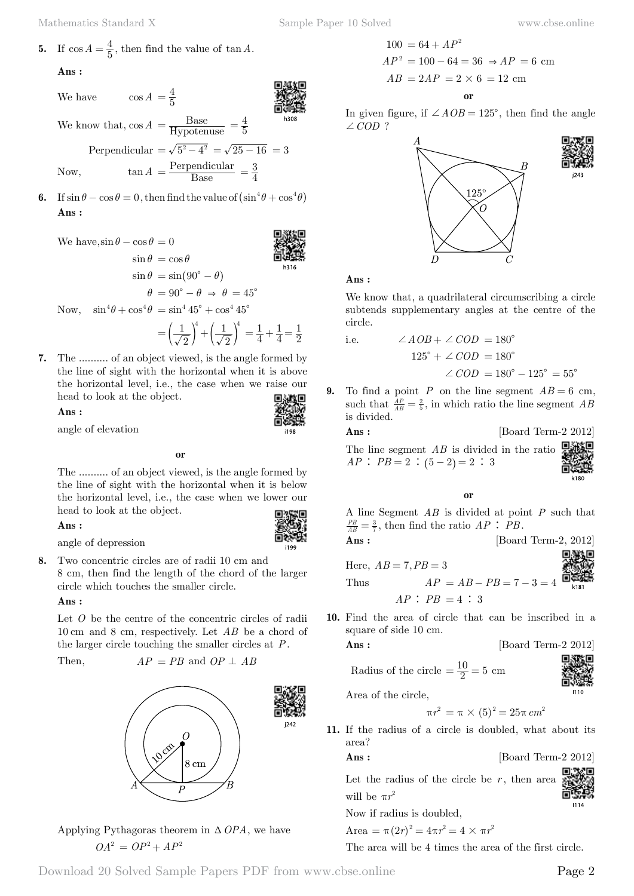**Ans :**

We have 
$$
\cos A = \frac{4}{5}
$$

We know that, 
$$
\cos A = \frac{\text{Base}}{\text{Hypotenuse}} = \frac{4}{5}
$$

Perpendicular  $=\sqrt{5^2 - 4^2} = \sqrt{25 - 16} = 3$ Now,  $\tan A = \frac{\text{Perpendicular}}{\text{Base}} = \frac{3}{4}$ 

- 
- **6.** If  $\sin \theta \cos \theta = 0$ , then find the value of  $(\sin^4 \theta + \cos^4 \theta)$  **Ans :**

We have,  $\sin \theta - \cos \theta = 0$  $\sin \theta = \cos \theta$  $\sin \theta = \sin (90^\circ - \theta)$  $\theta = 90^{\circ} - \theta \Rightarrow \theta = 45^{\circ}$ Now,  $\sin^4\theta + \cos^4\theta = \sin^4 45^\circ + \cos^4 45^\circ$ 

$$
= \left(\frac{1}{\sqrt{2}}\right)^4 + \left(\frac{1}{\sqrt{2}}\right)^4 = \frac{1}{4} + \frac{1}{4} = \frac{1}{2}
$$

i198

**7.** The .......... of an object viewed, is the angle formed by the line of sight with the horizontal when it is above the horizontal level, i.e., the case when we raise our head to look at the object.

 **Ans :**

angle of elevation

 **o**

The .......... of an object viewed, is the angle formed by the line of sight with the horizontal when it is below the horizontal level, i.e., the case when we lower our head to look at the object.

 **Ans :**

angle of depression

**8.** Two concentric circles are of radii 10 cm and 8 cm, then find the length of the chord of the larger circle which touches the smaller circle.

 **Ans :**

Let O be the centre of the concentric circles of radii 10 cm and 8 cm, respectively. Let *AB* be a chord of the larger circle touching the smaller circles at *P*.

Then,  $AP = PB$  and  $OP \perp AB$ 



Applying Pythagoras theorem in  $\triangle OPA$ , we have  $OA^2 = OP^2 + AP^2$ 

$$
100 = 64 + AP2
$$
  
AP<sup>2</sup> = 100 - 64 = 36  $\Rightarrow$  AP = 6 cm  
AB = 2AP = 2 × 6 = 12 cm  
or

In given figure, if  $\angle AOB = 125^{\circ}$ , then find the angle  $\angle COD$  ?



# **Ans :**

We know that, a quadrilateral circumscribing a circle subtends supplementary angles at the centre of the circle.

i.e. 
$$
\angle AOB + \angle COD = 180^{\circ}
$$

$$
125^{\circ} + \angle COD = 180^{\circ}
$$

$$
\angle COD = 180^{\circ} - 125^{\circ} = 55^{\circ}
$$

To find a point *P* on the line segment  $AB = 6$  cm, such that  $\frac{AP}{AB} = \frac{2}{5}$ , in which ratio the line segment *AB* is divided.

**Ans :** [Board Term-2 2012]

The line segment *AB* is divided in the ratio  $AP : PB = 2 : (5 - 2) = 2 : 3$ 



# **o**

A line Segment *AB* is divided at point *P* such that  $\frac{PB}{AB} = \frac{3}{7}$ , then find the ratio *AP* : *PB*.

$$
Ans: \qquad \qquad [\text{Board Term-2, 2012}]
$$

Here,  $AB = 7, PB = 3$ Thus  $AP = AB - PB = 7 - 3 = 4$  $AP : PB = 4 : 3$ 

**10.** Find the area of circle that can be inscribed in a square of side 10 cm.

$$
Ans: \qquad \qquad [\text{Board Term-2 2012}]
$$

Radius of the circle  $=$   $\frac{10}{2}$  = 5 cm



Area of the circle,

$$
\pi r^2 = \pi \times (5)^2 = 25\pi \, cm^2
$$

**11.** If the radius of a circle is doubled, what about its area?

**Ans :** [Board Term-2 2012]

Let the radius of the circle be  $r$ , then area will be  $\pi r^2$ 1114

Now if radius is doubled,

Area = 
$$
\pi (2r)^2 = 4\pi r^2 = 4 \times \pi r^2
$$

The area will be 4 times the area of the first circle.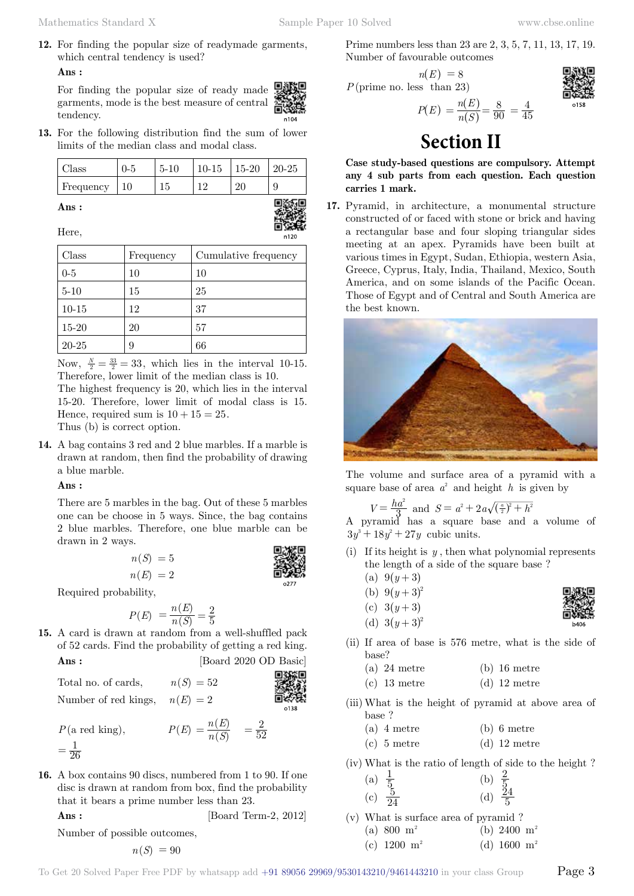**Ans :**

For finding the popular size of ready made garments, mode is the best measure of central tendency.



**13.** For the following distribution find the sum of lower limits of the median class and modal class.

| Class     | $0 - 5$ | $5 - 10$ | $10-15$   15-20 | $120-25$ |
|-----------|---------|----------|-----------------|----------|
| Frequency | 10      | 15       | റ്റ             | Q        |

 **Ans :**



Here,

| Class     | Frequency | Cumulative frequency |
|-----------|-----------|----------------------|
| $0-5$     | 10        | 10                   |
| $5 - 10$  | 15        | 25                   |
| $10-15$   | 12        | 37                   |
| $15 - 20$ | 20        | 57                   |
| $20 - 25$ | 9         | 66                   |

Now,  $\frac{N}{2} = \frac{33}{2} = 33$ , which lies in the interval 10-15. Therefore, lower limit of the median class is 10.

The highest frequency is 20, which lies in the interval 15-20. Therefore, lower limit of modal class is 15. Hence, required sum is  $10 + 15 = 25$ .

Thus (b) is correct option.

**14.** A bag contains 3 red and 2 blue marbles. If a marble is drawn at random, then find the probability of drawing a blue marble.

### **Ans :**

There are 5 marbles in the bag. Out of these 5 marbles one can be choose in 5 ways. Since, the bag contains 2 blue marbles. Therefore, one blue marble can be drawn in 2 ways.

| $n(S) = 5$ |  |
|------------|--|
| $n(E) = 2$ |  |

| $\prime$<br>ı<br>ı<br>ız<br>ř |
|-------------------------------|

Required probability,

$$
P(E) = \frac{n(E)}{n(S)} = \frac{2}{5}
$$

**15.** A card is drawn at random from a well-shuffled pack of 52 cards. Find the probability of getting a red king. **Ans :** [Board 2020 OD Basic]

Total no. of cards, 
$$
n(S) = 52
$$
  
\nNumber of red kings,  $n(E) = 2$   
\n $P(\text{a red king})$ ,  $P(E) = \frac{n(E)}{n(S)} = \frac{2}{52}$ 

 $=\frac{1}{26}$ 

**16.** A box contains 90 discs, numbered from 1 to 90. If one disc is drawn at random from box, find the probability that it bears a prime number less than 23.

**Ans :** [Board Term-2, 2012]

Number of possible outcomes,

$$
n(S) = 90
$$

Prime numbers less than 23 are 2, 3, 5, 7, 11, 13, 17, 19. Number of favourable outcomes

$$
n(E) = 8
$$
  
 $P(\text{prime no. less than 23})$ 

$$
P(E) = \frac{n(E)}{n(S)} = \frac{8}{90} = \frac{4}{45}
$$



# **Section II**

**Case study-based questions are compulsory. Attempt any 4 sub parts from each question. Each question carries 1 mark.**

 $\left( S\right)$ 

**17.** Pyramid, in architecture, a monumental structure constructed of or faced with stone or brick and having a rectangular base and four sloping triangular sides meeting at an apex. Pyramids have been built at various times in Egypt, Sudan, Ethiopia, western Asia, Greece, Cyprus, Italy, India, Thailand, Mexico, South America, and on some islands of the Pacific Ocean. Those of Egypt and of Central and South America are the best known.



The volume and surface area of a pyramid with a square base of area  $a^2$  and height h is given by

$$
V = \frac{ha^2}{3}
$$
 and  $S = a^2 + 2a\sqrt{(\frac{a}{2})^2 + h^2}$ 

 $v = \frac{3}{3}$  and  $s = a + za\sqrt{\frac{1}{2}} + h$ <br>A pyramid has a square base and a volume of  $3y^3 + 18y^2 + 27y$  cubic units.

- (i) If its height is *y* , then what polynomial represents the length of a side of the square base ?
	- (a)  $9(y+3)$
	- (b)  $9(y+3)^2$
	- (c)  $3(y + 3)$
	- (d)  $3(y+3)^2$



(ii) If area of base is 576 metre, what is the side of base?

| $(a)$ 24 metre | $(b)$ 16 metre |
|----------------|----------------|
| $(c)$ 13 metre | $(d)$ 12 metre |

- (iii) What is the height of pyramid at above area of base ?
	- (a) 4 metre (b) 6 metre
	- (c)  $5$  metre (d)  $12$  metre
- (iv) What is the ratio of length of side to the height ?

| (a) | $\frac{1}{5}$ | (b) $\frac{2}{5}$<br>(d) $\frac{24}{5}$ |  |
|-----|---------------|-----------------------------------------|--|
| (c) | $rac{5}{24}$  |                                         |  |

(v) What is surface area of pyramid ? (a) 800  $m^2$  (b) 2400  $m^2$ (c)  $1200 \text{ m}^2$  (d)  $1600 \text{ m}^2$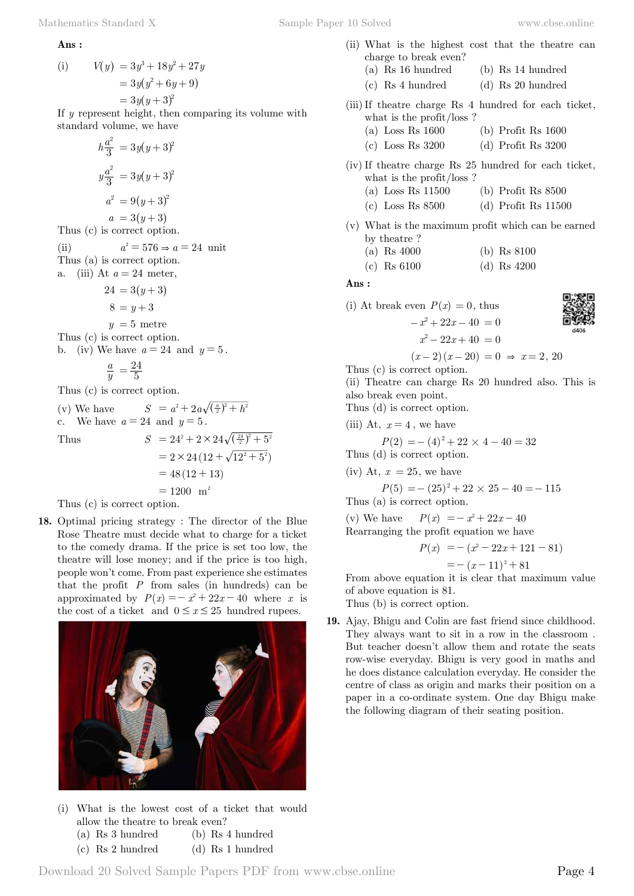#### **Ans :**

(i) 
$$
V(y) = 3y^3 + 18y^2 + 27y
$$

$$
= 3y(y^2 + 6y + 9)
$$

$$
= 3y(y + 3)^2
$$

If *y* represent height, then comparing its volume with standard volume, we have

$$
h\frac{a^2}{3} = 3y(y+3)^2
$$

$$
y\frac{a^2}{3} = 3y(y+3)^2
$$

$$
a^2 = 9(y+3)^2
$$

$$
a = 3(y+3)
$$

Thus (c) is correct option.

(ii)  $a^2 = 576 \Rightarrow a = 24$  unit Thus (a) is correct option. a. (iii) At  $a = 24$  meter,

$$
24 = 3(y+3)
$$
  
\n
$$
8 = y+3
$$
  
\n
$$
y = 5
$$
 metre  
\nThus (c) is correct option.  
\nb. (iv) We have  $a = 24$  and  $y = 5$ .

$$
\frac{a}{y} = \frac{24}{5}
$$

Thus (c) is correct option.

(v) We have  $S = a^2 + 2a\sqrt{(\frac{a}{2})^2 + h^2}$ c. We have  $a = 24$  and  $y = 5$ . Thus  $S = 24^2 + 2 \times 24 \sqrt{(\frac{24}{2})^2 + 5}$ 

Thus  
\n
$$
S = 24^{2} + 2 \times 24\sqrt{\frac{24}{2}} + 5^{2}
$$
\n
$$
= 2 \times 24 (12 + \sqrt{12^{2} + 5^{2}})
$$
\n
$$
= 48 (12 + 13)
$$
\n
$$
= 1200 \text{ m}^{2}
$$
\nThus (c) is correct option.

Thus (c) is correct option.

**18.** Optimal pricing strategy : The director of the Blue Rose Theatre must decide what to charge for a ticket to the comedy drama. If the price is set too low, the theatre will lose money; and if the price is too high, people won't come. From past experience she estimates that the profit  $P$  from sales (in hundreds) can be approximated by  $P(x) = -x^2 + 22x - 40$  where x is the cost of a ticket and  $0 \le x \le 25$  hundred rupees.



(i) What is the lowest cost of a ticket that would allow the theatre to break even? (a) Rs 3 hundred (b) Rs 4 hundred

$$
D_2 9
$$
hundred (b) 1634 mlnu  
(c) 1634 hundu

(c) Rs 2 hundred (d) Rs 1 hundred

- (ii) What is the highest cost that the theatre can charge to break even?
	- (a) Rs 16 hundred (b) Rs 14 hundred
	- (c) Rs 4 hundred (d) Rs 20 hundred
- (iii)If theatre charge Rs 4 hundred for each ticket, what is the profit/loss ?
	- (a) Loss Rs 1600 (b) Profit Rs 1600
	- (c) Loss Rs 3200 (d) Profit Rs 3200
- (iv) If theatre charge Rs 25 hundred for each ticket, what is the profit/loss ?
	- (a) Loss Rs 11500 (b) Profit Rs 8500
	- (c) Loss Rs 8500 (d) Profit Rs 11500
- (v) What is the maximum profit which can be earned by theatre ?

| (a) Rs $4000$ |  |  | (b) Rs $8100$ |
|---------------|--|--|---------------|
|---------------|--|--|---------------|

(c) Rs 6100 (d) Rs 4200

#### **Ans :**

(i) At break even  $P(x) = 0$ , thus  $-x^2 + 22x - 40 = 0$  $x^2 - 22x + 40 = 0$ 

$$
\mathbf{B}_{\text{max}}
$$

回激回

$$
(x-2)(x-20) = 0 \Rightarrow x = 2, 20
$$

Thus (c) is correct option.

(ii) Theatre can charge Rs 20 hundred also. This is also break even point.

Thus (d) is correct option.

(iii) At,  $x = 4$ , we have

$$
P(2) = -(4)^{2} + 22 \times 4 - 40 = 32
$$

Thus (d) is correct option.

(iv) At,  $x = 25$ , we have

$$
P(5) = -(25)^{2} + 22 \times 25 - 40 = -115
$$
Thus (a) is correct option.

(v) We have  $P(x) = -x^2 + 22x - 40$ Rearranging the profit equation we have

$$
P(x) = -(x^2 - 22x + 121 - 81)
$$
  
= -(x - 11)<sup>2</sup> + 81

From above equation it is clear that maximum value of above equation is 81.

Thus (b) is correct option.

**19.** Ajay, Bhigu and Colin are fast friend since childhood. They always want to sit in a row in the classroom . But teacher doesn't allow them and rotate the seats row-wise everyday. Bhigu is very good in maths and he does distance calculation everyday. He consider the centre of class as origin and marks their position on a paper in a co-ordinate system. One day Bhigu make the following diagram of their seating position.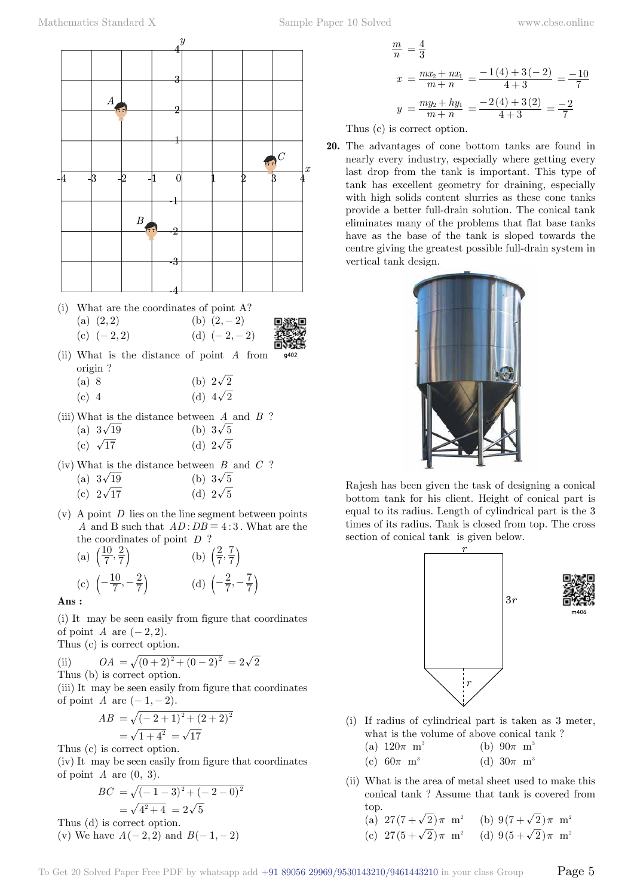

(i) What are the coordinates of point A? (a)  $(2, 2)$  (b)  $(2, -2)$ 

(c) 
$$
(-2,2)
$$
 (d)  $(-2,-2)$ 



- (ii) What is the distance of point *A* from origin ?
	- (a) 8 (b)  $2\sqrt{2}$
	- (c) 4 (d)  $4\sqrt{2}$
- (iii) What is the distance between *A* and *B* ? (a)  $3\sqrt{19}$  (b)  $3\sqrt{5}$ 
	- (c)  $\sqrt{17}$  (d)  $2\sqrt{5}$
- (iv) What is the distance between *B* and *C* ? (a)  $3\sqrt{19}$  (b)  $3\sqrt{5}$

(c)  $2\sqrt{17}$  (d)  $2\sqrt{5}$ 

(v) A point *D* lies on the line segment between points *A* and B such that  $AD:DB = 4:3$ . What are the the coordinates of point *D* ?

(a) 
$$
\left(\frac{10}{7}, \frac{2}{7}\right)
$$
 (b)  $\left(\frac{2}{7}, \frac{7}{7}\right)$   
(c)  $\left(-\frac{10}{7}, -\frac{2}{7}\right)$  (d)  $\left(-\frac{2}{7}, -\frac{7}{7}\right)$ 

 **Ans :**

(i) It may be seen easily from figure that coordinates of point *A* are  $(-2, 2)$ .

Thus (c) is correct option.

(ii) 
$$
OA = \sqrt{(0+2)^2 + (0-2)^2} = 2\sqrt{2}
$$
  
Thus (b) is correct option.

(iii) It may be seen easily from figure that coordinates of point *A* are  $(-1, -2)$ .

$$
AB = \sqrt{(-2+1)^2 + (2+2)^2}
$$
  
=  $\sqrt{1+4^2} = \sqrt{17}$ 

Thus (c) is correct option.

(iv) It may be seen easily from figure that coordinates of point  $A$  are  $(0, 3)$ .

$$
BC = \sqrt{(-1-3)^2 + (-2-0)^2}
$$
  
=  $\sqrt{4^2 + 4} = 2\sqrt{5}$ 

Thus (d) is correct option. (v) We have  $A(-2, 2)$  and  $B(-1, -2)$ 

$$
\frac{m}{n} = \frac{4}{3}
$$
\n
$$
x = \frac{mx_2 + nx_1}{m+n} = \frac{-1(4) + 3(-2)}{4+3} = \frac{-10}{7}
$$
\n
$$
y = \frac{my_2 + hy_1}{m+n} = \frac{-2(4) + 3(2)}{4+3} = \frac{-2}{7}
$$

Thus (c) is correct option.

 $\Delta$ 

**20.** The advantages of cone bottom tanks are found in nearly every industry, especially where getting every last drop from the tank is important. This type of tank has excellent geometry for draining, especially with high solids content slurries as these cone tanks provide a better full-drain solution. The conical tank eliminates many of the problems that flat base tanks have as the base of the tank is sloped towards the centre giving the greatest possible full-drain system in vertical tank design.



Rajesh has been given the task of designing a conical bottom tank for his client. Height of conical part is equal to its radius. Length of cylindrical part is the 3 times of its radius. Tank is closed from top. The cross section of conical tank is given below.



- (i) If radius of cylindrical part is taken as 3 meter, what is the volume of above conical tank ?
	- (a)  $120\pi \text{ m}^3$  (b)  $90\pi \text{ m}^3$ (c)  $60\pi$  m<sup>3</sup> (d)  $30\pi$  m<sup>3</sup>
- (ii) What is the area of metal sheet used to make this conical tank ? Assume that tank is covered from top.

(a)  $27(7+\sqrt{2})\pi$  m<sup>2</sup> (b)  $9(7+\sqrt{2})\pi$  m<sup>2</sup>

(c) 
$$
27(5+\sqrt{2})\pi
$$
 m<sup>2</sup> (d)  $9(5+\sqrt{2})\pi$  m<sup>2</sup>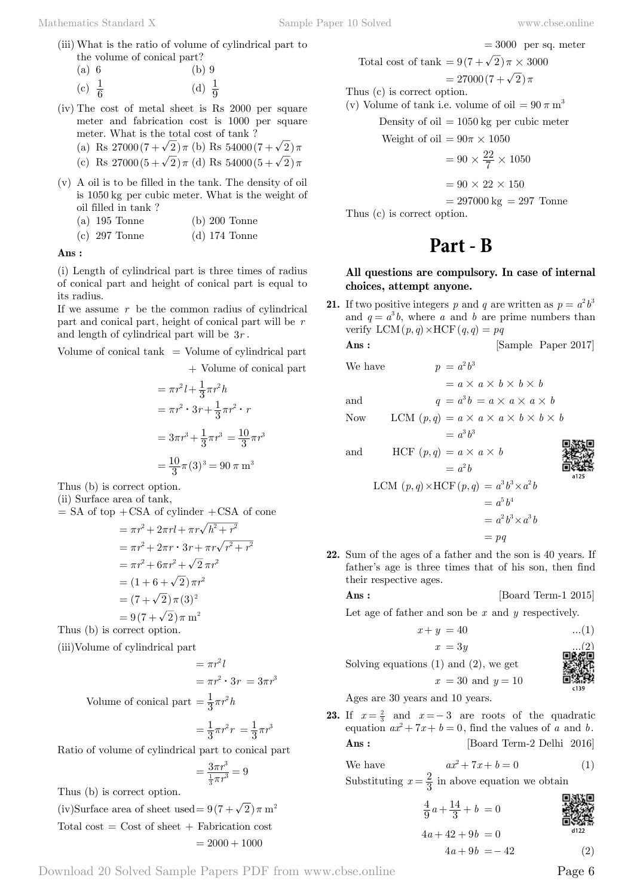$= 3000$  per sq. meter

(iii) What is the ratio of volume of cylindrical part to the volume of conical part?

| (a) 6             | $(b)$ 9           |
|-------------------|-------------------|
| (c) $\frac{1}{6}$ | (d) $\frac{1}{9}$ |

(iv) The cost of metal sheet is Rs 2000 per square meter and fabrication cost is 1000 per square meter. What is the total cost of tank ?

(a) Rs 
$$
27000(7+\sqrt{2})\pi
$$
 (b) Rs  $54000(7+\sqrt{2})\pi$ 

- (c) Rs  $27000(5+\sqrt{2})\pi$  (d) Rs  $54000(5+\sqrt{2})\pi$
- (v) A oil is to be filled in the tank. The density of oil is 1050 kg per cubic meter. What is the weight of oil filled in tank ?
	- (a) 195 Tonne (b) 200 Tonne
	- (c) 297 Tonne (d) 174 Tonne

#### **Ans :**

(i) Length of cylindrical part is three times of radius of conical part and height of conical part is equal to its radius.

If we assume *r* be the common radius of cylindrical part and conical part, height of conical part will be *r* and length of cylindrical part will be 3*r* .

Volume of conical tank  $=$  Volume of cylindrical part + Volume of conical part

$$
= \pi r^2 l + \frac{1}{3} \pi r^2 h
$$
  
=  $\pi r^2 \cdot 3r + \frac{1}{3} \pi r^2 \cdot r$   
=  $3\pi r^3 + \frac{1}{3} \pi r^3 = \frac{10}{3} \pi r^3$   
=  $\frac{10}{3} \pi (3)^3 = 90 \pi$  m<sup>3</sup>

Thus (b) is correct option.

(ii) Surface area of tank,  $=$  SA of top  $+$ CSA of cylinder  $+$ CSA of cone

$$
= \pi r^2 + 2\pi r l + \pi r \sqrt{h^2 + r^2}
$$
  
=  $\pi r^2 + 2\pi r \cdot 3r + \pi r \sqrt{r^2 + r^2}$   
=  $\pi r^2 + 6\pi r^2 + \sqrt{2} \pi r^2$   
=  $(1 + 6 + \sqrt{2}) \pi r^2$   
=  $(7 + \sqrt{2}) \pi (3)^2$   
=  $9(7 + \sqrt{2}) \pi$  m<sup>2</sup>  
Thus (b) is correct option.

(iii)Volume of cylindrical part

$$
= \pi r^2 l
$$
  
=  $\pi r^2 \cdot 3r = 3\pi r^3$   
Volume of conical part =  $\frac{1}{3}\pi r^2 h$ 

$$
=\frac{1}{3}\pi r^2 r = \frac{1}{3}\pi r^3
$$

Ratio of volume of cylindrical part to conical part

$$
=\frac{3\pi r^3}{\frac{1}{3}\pi r^3}=9
$$

Thus (b) is correct option.

 $Volume$ 

(iv)Surface area of sheet used =  $9(7+\sqrt{2})\pi$  m<sup>2</sup> Total cost  $=$  Cost of sheet  $+$  Fabrication cost  $= 2000 + 1000$ 

Total cost of tank = 
$$
9(7 + \sqrt{2})\pi \times 3000
$$
  
=  $27000(7 + \sqrt{2})\pi$   
Thus (c) is correct option.

(v) Volume of tank i.e. volume of oil  $= 90 \pi \text{ m}^3$ 

Density of oil  $= 1050 \text{ kg}$  per cubic meter

Weight of oil  $= 90\pi \times 1050$ 

$$
= 90 \times \frac{22}{7} \times 1050
$$

 $= 90 \times 22 \times 150$ 

$$
= 297000 \text{ kg} = 297 \text{ Tonne}
$$

Thus (c) is correct option.

# **Part - B**

# **All questions are compulsory. In case of internal choices, attempt anyone.**

**21.** If two positive integers *p* and *q* are written as  $p = a^2 b^3$ and  $q = a^3b$ , where *a* and *b* are prime numbers than verify  $LCM(p, q) \times HCF(q, q) = pq$ **Ans :** [Sample Paper 2017]

$$
\mathbf{S} = \mathbf{S} \mathbf{S} = \mathbf{S} \mathbf{S}
$$

We have 
$$
p = a^2 b^3
$$

$$
= a \times a \times b \times b \times b
$$

and  $q = a^3b = a \times a \times a \times b$ 

Now LCM  $(p, q) = a \times a \times a \times b \times b \times b$ 

$$
= a^3 b^3
$$

and  $\text{HCF } (p, q) = a \times a \times b$ 

$$
\frac{1}{2}
$$

$$
= a2 b
$$
  
LCM  $(p, q) \times$ HCF  $(p, q) = a3 b3 \times a2 b$   
 $= a5 b4$   
 $= a2 b3 \times a3 b$   
 $= pq$ 

**22.** Sum of the ages of a father and the son is 40 years. If father's age is three times that of his son, then find their respective ages.

#### **Ans :** [Board Term-1 2015]

Let age of father and son be *x* and *y* respectively.

 $x = 30$  and  $y = 10$ 

$$
x + y = 40
$$
 ...(1)  

$$
x = 3y
$$
 ...(2)

Solving equations  $(1)$  and  $(2)$ , we get

$$
\begin{array}{c}\n\text{D} & \text{M} \\
\text{M} & \text{M} \\
\text{M} & \text{M} \\
\text{M} & \text{M} \\
\text{M} & \text{M} \\
\text{M} & \text{M} \\
\text{M} & \text{M} \\
\text{M} & \text{M} \\
\text{M} & \text{M} \\
\text{M} & \text{M} \\
\text{M} & \text{M} \\
\text{M} & \text{M} \\
\text{M} & \text{M} \\
\text{M} & \text{M} \\
\text{M} & \text{M} \\
\text{M} & \text{M} \\
\text{M} & \text{M} \\
\text{M} & \text{M} \\
\text{M} & \text{M} \\
\text{M} & \text{M} \\
\text{M} & \text{M} \\
\text{M} & \text{M} \\
\text{M} & \text{M} \\
\text{M} & \text{M} \\
\text{M} & \text{M} \\
\text{M} & \text{M} \\
\text{M} & \text{M} \\
\text{M} & \text{M} \\
\text{M} & \text{M} \\
\text{M} & \text{M} \\
\text{M} & \text{M} \\
\text{M} & \text{M} \\
\text{M} & \text{M} \\
\text{M} & \text{M} \\
\text{M} & \text{M} \\
\text{M} & \text{M} \\
\text{M} & \text{M} \\
\text{M} & \text{M} \\
\text{M} & \text{M} \\
\text{M} & \text{M} \\
\text{M} & \text{M} \\
\text{M} & \text{M} \\
\text{M} & \text{M} \\
\text{M} & \text{M} \\
\text{M} & \text{M} \\
\text{M} & \text{M} \\
\text{M} & \text{M} \\
\text{M} & \text{M} \\
\text{M} & \text{M} \\
\text{M} & \text{M} \\
\text{M} & \text{M} \\
\text{M} & \text{M} \\
\text{M} & \text{M} \\
\text{M} & \text{M} \\
\text{M} & \text{M} \\
\text{M} & \text{M} \\
\text{M} & \text{M} \\
\text{M} & \text{M} \\
\text{M} & \text{M} \\
\text{M} & \text{M} \\
\text{M} & \text{M} \\
\text{M} & \text{M} \\
\text{M} & \text
$$

Ages are 30 years and 10 years.

**23.** If  $x = \frac{2}{3}$  and  $x = -3$  are roots of the quadratic equation  $ax^2 + 7x + b = 0$ , find the values of *a* and *b*. **Ans :** [Board Term-2 Delhi 2016]

We have 
$$
ax^2 + 7x + b = 0
$$
 (1)  
Substituting  $x = \frac{2}{3}$  in above equation we obtain

$$
\frac{4}{9}a + \frac{14}{3} + b = 0
$$
\n  
\n**QN**  
\n**QN**  
\n**QN**  
\n**QN**  
\n**QN**  
\n**QN**  
\n**QN**  
\n**QN**  
\n**QN**  
\n**QN**  
\n**QN**  
\n**QN**  
\n**QN**  
\n**QN**  
\n**QN**  
\n**QN**  
\n**QN**  
\n**QN**  
\n**QN**  
\n**QN**  
\n**QN**  
\n**QN**  
\n**QN**  
\n**QN**  
\n**QN**  
\n**QN**  
\n**QN**  
\n**QN**  
\n**QN**  
\n**QN**  
\n**QN**  
\n**QN**  
\n**QN**  
\n**QN**  
\n**QN**  
\n**QN**  
\n**QN**  
\n**QN**  
\n**QN**  
\n**QN**  
\n**QN**  
\n**QN**  
\n**QN**  
\n**QN**  
\n**QN**  
\n**QN**  
\n**QN**  
\n**QN**  
\n**QN**  
\n**QN**  
\n**QN**  
\n**QN**  
\n**QN**  
\n**QN**  
\n**QN**  
\n**QN**  
\n**QN**  
\n**QN**  
\n**QN**  
\n**QN**  
\n**QN**  
\n**QN**  
\n**QN**  
\n**QN**  
\n**QN**  
\n**QN**  
\n**QN**  
\n**QN**  
\n**QN**  
\n**QN**  
\n**QN**  
\n**QN**  
\n**QN**  
\n

$$
a + 42 + 90 = 0
$$
  

$$
4a + 9b = -42
$$
 (2)

Download 20 Solved Sample Papers PDF from [www.cbse.online](http://www.cbse.online) Page 6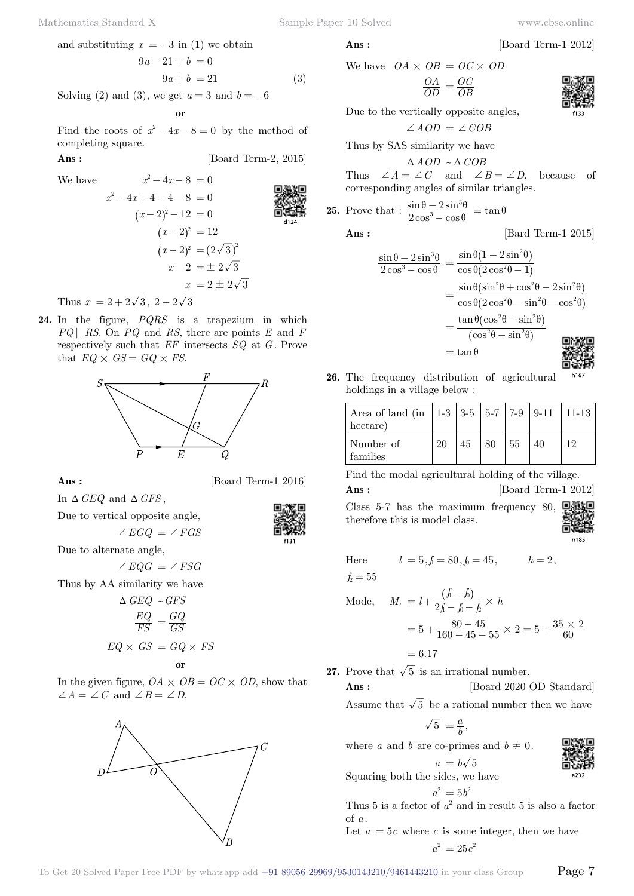and substituting 
$$
x = -3
$$
 in (1) we obtain

$$
9a - 21 + b = 0
$$
  

$$
9a + b = 21
$$
 (3)

Solving (2) and (3), we get  $a = 3$  and  $b = -6$ 

$$
\quad \text{ or } \quad
$$

Find the roots of  $x^2 - 4x - 8 = 0$  by the method of completing square.

 **Ans :** [Board Term-2, 2015]

$$
x^{2}-4x-8=0
$$
  
\n
$$
x^{2}-4x+4-4-8=0
$$
  
\n
$$
(x-2)^{2}-12=0
$$
  
\n
$$
(x-2)^{2}=12
$$
  
\n
$$
(x-2)^{2}=(2\sqrt{3})^{2}
$$
  
\n
$$
x-2=\pm 2\sqrt{3}
$$
  
\n
$$
x = 2 \pm 2\sqrt{3}
$$

Thus  $x = 2 + 2\sqrt{3}$ ,  $2 - 2\sqrt{3}$ 

**24.** In the figure, *PQRS* is a trapezium in which *PQ* || *RS*. On *PQ* and *RS*, there are points *E* and *F* respectively such that *EF* intersects *SQ* at *G* . Prove that  $EQ \times GS = GQ \times FS$ .



**Ans :** [Board Term-1 2016]

In  $\triangle$  *GEQ* and  $\triangle$  *GFS*,

Due to vertical opposite angle,

 $\angle EGO = \angle FGS$ 

Due to alternate angle,

 $\angle EQG = \angle FSG$ 

Thus by AA similarity we have

$$
\Delta GEQ \sim GFS
$$

$$
\frac{EQ}{FS} = \frac{GQ}{GS}
$$

$$
EQ \times GS = GQ \times FS
$$

#### **o**

In the given figure,  $OA \times OB = OC \times OD$ , show that  $\angle A = \angle C$  and  $\angle B = \angle D$ .



We have 
$$
OA \times OB = OC \times OD
$$

$$
\frac{OA}{OD} = \frac{OC}{OB}
$$

Due to the vertically opposite angles,

 $\angle AOD = \angle COB$ 

Thus by SAS similarity we have  $\triangle AOD \sim \triangle COB$ 

Thus 
$$
\angle A = \angle C
$$
 and  $\angle B = \angle D$ , because of corresponding angles of similar triangles.

**25.** Prove that : 
$$
\frac{\sin \theta - 2 \sin^3 \theta}{2 \cos^3 - \cos \theta} = \tan \theta
$$

**Ans :** [Bard Term-1 2015]

$$
\frac{\sin \theta - 2\sin^3 \theta}{2\cos^3 - \cos \theta} = \frac{\sin \theta (1 - 2\sin^2 \theta)}{\cos \theta (2\cos^2 \theta - 1)}
$$

$$
= \frac{\sin \theta (\sin^2 \theta + \cos^2 \theta - 2\sin^2 \theta)}{\cos \theta (2\cos^2 \theta - \sin^2 \theta - \cos^2 \theta)}
$$

$$
= \frac{\tan \theta (\cos^2 \theta - \sin^2 \theta)}{(\cos^2 \theta - \sin^2 \theta)}
$$

$$
= \tan \theta
$$

**26.** The frequency distribution of agricultural h<sub>167</sub> holdings in a village below :

| Area of land (in   1-3   3-5   5-7   7-9   9-11   11-13<br>hectare) |    |    |    |    |  |
|---------------------------------------------------------------------|----|----|----|----|--|
| Number of<br>families                                               | 20 | 45 | 80 | 55 |  |

Find the modal agricultural holding of the village.

**Ans :** [Board Term-1 2012]

Class 5-7 has the maximum frequency 80, therefore this is model class.



回溯

古文字

Here  $l = 5, f = 80, f_0 = 45, h = 2,$ 

$$
f_2=55
$$

Mode, 
$$
M_o = l + \frac{(f - f_0)}{2f - f_0 - f_0} \times h
$$
  
=  $5 + \frac{80 - 45}{160 - 45 - 55} \times 2 = 5 + \frac{35 \times 2}{60}$ 

 $= 6.17$ 

**27.** Prove that  $\sqrt{5}$  is an irrational number.

**Ans :** [Board 2020 OD Standard]

Assume that  $\sqrt{5}$  be a rational number then we have

$$
\sqrt{5} = \frac{a}{b},
$$

where *a* and *b* are co-primes and  $b \neq 0$ .

$$
a = b\sqrt{5}
$$

Squaring both the sides, we have

$$
a^2=5b^2
$$

Thus 5 is a factor of  $a^2$  and in result 5 is also a factor of *a* .

Let  $a = 5c$  where c is some integer, then we have  $a^2 = 25c^2$ 



$$
have \quad OA \times OB
$$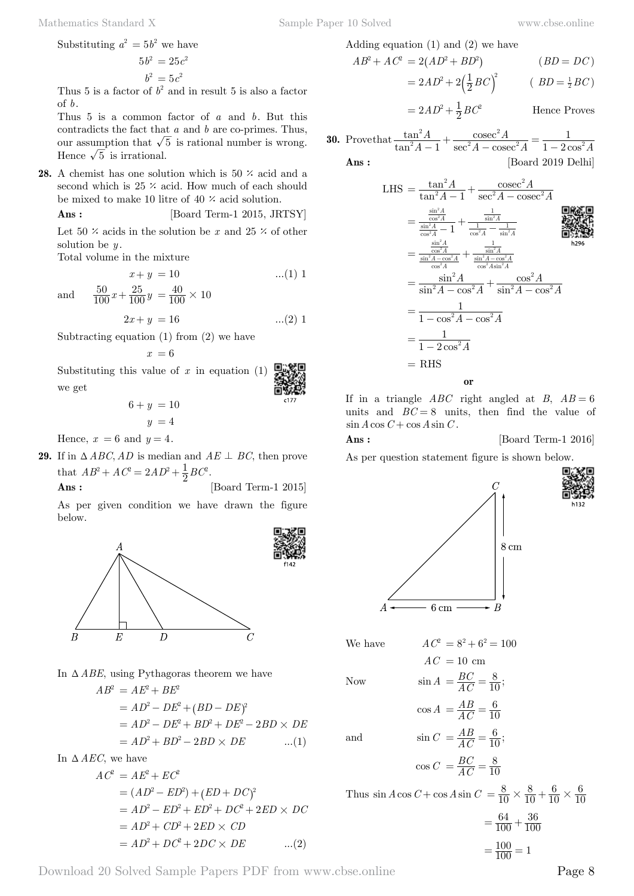Substituting 
$$
a^2 = 5b^2
$$
 we have

$$
5b^2 = 25c^2
$$

$$
b^2 = 5c^2
$$

Thus 5 is a factor of  $b^2$  and in result 5 is also a factor of *b*.

Thus 5 is a common factor of *a* and *b*. But this contradicts the fact that *a* and *b* are co-primes. Thus, our assumption that  $\sqrt{5}$  is rational number is wrong. Hence  $\sqrt{5}$  is irrational.

**28.** A chemist has one solution which is  $50 \times \text{acid}$  and a second which is  $25 \times \text{acid}$ . How much of each should be mixed to make 10 litre of 40  $\times$  acid solution.

$$
Ans: \qquad \qquad [\text{Board Term-1 2015, JRTSY}]
$$

Let 50  $\times$  acids in the solution be *x* and 25  $\times$  of other solution be *y* .

Total volume in the mixture

$$
x + y = 10 \tag{1}
$$

and  $\frac{50}{100}x + \frac{25}{100}y$  $+\frac{25}{100}y = \frac{40}{100} \times 10$ 

$$
2x + y = 16 \qquad \dots (2) 1
$$

[Board Term-1 2015]

Subtracting equation (1) from (2) we have

$$
x\,=6
$$

Substituting this value of  $x$  in equation  $(1)$ we get

$$
6 + y = 10
$$

$$
y = 4
$$

Hence,  $x = 6$  and  $y = 4$ .

**29.** If in  $\triangle ABC$ , *AD* is median and  $AE \perp BC$ , then prove that  $AB^2 + AC^2 = 2AD^2 + \frac{1}{2}BC^2$ .<br>Ans:

As per given condition we have drawn the figure below.



In  $\triangle$  *ABE*, using Pythagoras theorem we have

 $AB^2 = AE^2 + BE^2$  $A D^2 - DE^2 + (BD - DE)^2$  $AB^2 - DE^2 + BD^2 + DE^2 - 2BD \times DE^2$  $= AD^2 + BD^2 - 2BD \times DE$  ...(1)

In 
$$
\Delta AEC
$$
, we have

$$
AC2 = AE2 + EC2
$$
  
=  $(AD2 - ED2) + (ED + DC)2$   
=  $AD2 - ED2 + ED2 + DC2 + 2ED \times DC$   
=  $AD2 + CD2 + 2ED \times CD$   
=  $AD2 + DC2 + 2DC \times DE$  ...(2)

Adding equation (1) and (2) we have

$$
AB^{2} + AC^{2} = 2(AD^{2} + BD^{2})
$$
 (BD = DC)  
= 2AD<sup>2</sup> + 2( $\frac{1}{2}$ BC)<sup>2</sup> (BD =  $\frac{1}{2}$ BC)

 $=2AD^2+\frac{1}{2}BC^2$  Hence Proves

**30.** Prove that 
$$
\frac{\tan^2 A}{\tan^2 A - 1} + \frac{\csc^2 A}{\sec^2 A - \csc^2 A} = \frac{1}{1 - 2\cos^2 A}
$$

**Ans :** [Board 2019 Delhi]

LHS = 
$$
\frac{\tan^2 A}{\tan^2 A - 1} + \frac{\csc^2 A}{\sec^2 A - \csc^2 A}
$$
  
\n=  $\frac{\frac{\sin^2 A}{\cos^2 A}}{\frac{\sin^2 A}{\cos^2 A} - 1} + \frac{\frac{1}{\sin^2 A}}{\frac{1}{\cos^2 A} - \frac{1}{\sin^2 A}}$   
\n=  $\frac{\frac{\sin^2 A}{\cos^2 A}}{\frac{\sin^2 A - \cos^2 A}{\cos^2 A} + \frac{\frac{1}{\sin^2 A - \cos^2 A}}{\cos^2 A \sin^2 A}}$   
\n=  $\frac{\sin^2 A}{\sin^2 A - \cos^2 A} + \frac{\cos^2 A}{\sin^2 A - \cos^2 A}$   
\n=  $\frac{\sin^2 A}{1 - \cos^2 A - \cos^2 A}$   
\n=  $\frac{1}{1 - \cos^2 A - \cos^2 A}$   
\n=  $\frac{1}{1 - 2 \cos^2 A}$   
\n= RHS

If in a triangle  $ABC$  right angled at *B*,  $AB = 6$ units and  $BC = 8$  units, then find the value of  $\sin A \cos C + \cos A \sin C$ .

#### **Ans :** [Board Term-1 2016]

As per question statement figure is shown below.



We have  $AC^2 = 8^2 + 6^2 = 100$ 

Now 
$$
\sin A = \frac{BC}{AC}
$$

$$
AC = 10 \text{ cm}
$$

$$
\begin{array}{c}\n\text{10 m} \\
\text{10 m}\n\end{array}
$$

$$
A = \frac{BC}{AC} = \frac{8}{10};
$$

$$
\cos A = \frac{AB}{AC} = \frac{6}{10}
$$
  
and 
$$
\sin C = \frac{AB}{AC} = \frac{6}{10};
$$

 $\cos C = \frac{BC}{AC}$ 

Thus 
$$
\sin A \cos C + \cos A \sin C = \frac{8}{10} \times \frac{8}{10} + \frac{6}{10} \times \frac{6}{10}
$$
  
=  $\frac{64}{100} + \frac{36}{100}$ 

 $\frac{BC}{AC} = \frac{8}{10}$ 

$$
=\frac{100}{100} = 1
$$

Download 20 Solved Sample Papers PDF from [www.cbse.online](http://www.cbse.online) Page 8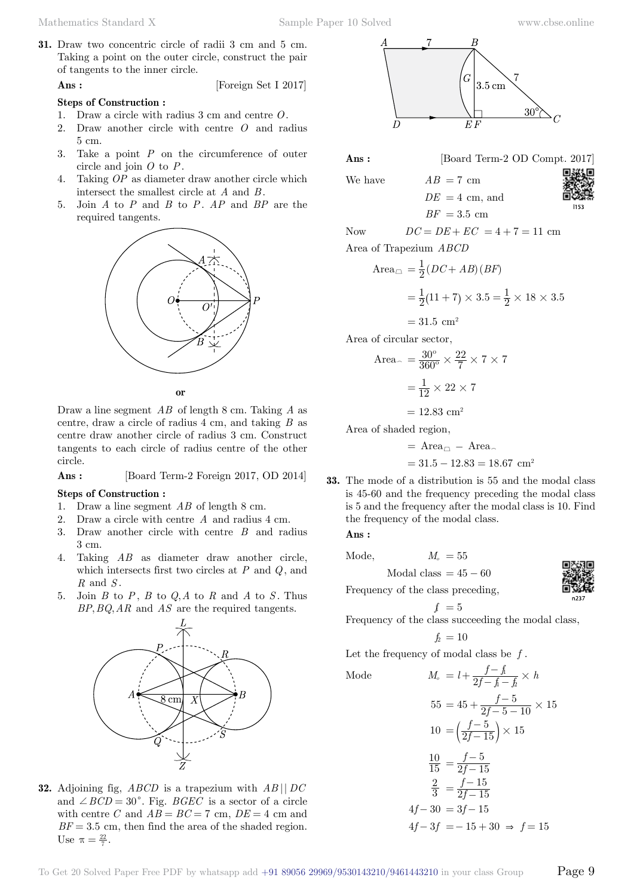**31.** Draw two concentric circle of radii 3 cm and 5 cm. Taking a point on the outer circle, construct the pair of tangents to the inner circle.

**Ans :** [Foreign Set I 2017]

#### **Steps of Construction :**

- 1. Draw a circle with radius 3 cm and centre *O*.
- 2. Draw another circle with centre *O* and radius 5 cm.
- 3. Take a point *P* on the circumference of outer circle and join *O* to *P*.
- 4. Taking *OP* as diameter draw another circle which intersect the smallest circle at *A* and *B* .
- 5. Join *A* to *P* and *B* to *P*. *AP* and *BP* are the required tangents.



 **o**

Draw a line segment *AB* of length 8 cm. Taking *A* as centre, draw a circle of radius 4 cm, and taking *B* as centre draw another circle of radius 3 cm. Construct tangents to each circle of radius centre of the other circle.

 **Ans :** [Board Term-2 Foreign 2017, OD 2014]

### **Steps of Construction :**

- 1. Draw a line segment *AB* of length 8 cm.
- 2. Draw a circle with centre *A* and radius 4 cm.
- 3. Draw another circle with centre *B* and radius 3 cm.
- 4. Taking *AB* as diameter draw another circle, which intersects first two circles at *P* and *Q*, and *R* and *S* .
- 5. Join *B* to *P*, *B* to *Q A*, to *R* and *A* to *S* . Thus *BP*, *BQ*, *AR* and *AS* are the required tangents.



**32.** Adjoining fig, *ABCD* is a trapezium with *AB* || *DC* and  $\angle BCD = 30^{\circ}$ . Fig. *BGEC* is a sector of a circle with centre *C* and  $AB = BC = 7$  cm,  $DE = 4$  cm and  $BF = 3.5$  cm, then find the area of the shaded region. Use  $\pi = \frac{22}{7}$ .



**Ans :** [Board Term-2 OD Compt. 2017]

We have  $AB = 7$  cm  $DE = 4$  cm, and  $BF = 3.5$  cm



Now  $DC = DE + EC = 4 + 7 = 11$  cm

Area of Trapezium *ABCD*

Area<sub>$$
\square
$$</sub> =  $\frac{1}{2}$ (*DC* + *AB*)(*BF*)  
=  $\frac{1}{2}$ (11 + 7) × 3.5 =  $\frac{1}{2}$  × 18 × 3.5

Area of circular sector,

Area<sub>~</sub> = 
$$
\frac{30^{\circ}}{360^{\circ}} \times \frac{22}{7} \times 7 \times 7
$$
  
=  $\frac{1}{12} \times 22 \times 7$ 

 $= 31.5$  cm<sup>2</sup>

 $= 12.83$  cm<sup>2</sup>

Area of shaded region,

$$
\,=\, {\rm Area}_{\scriptscriptstyle \Box} \,-\, {\rm Area}_{\scriptscriptstyle \curvearrowleft}
$$

$$
= 31.5 - 12.83 = 18.67
$$
 cm<sup>2</sup>

**33.** The mode of a distribution is 55 and the modal class is 45-60 and the frequency preceding the modal class is 5 and the frequency after the modal class is 10. Find the frequency of the modal class.

 **Ans :**

$$
Mode, \t Mo = 55
$$

Modal class =  $45 - 60$ 

Frequency of the class preceding,

$$
f = 5
$$

Frequency of the class succeeding the modal class,

$$
f_2\,=10
$$

Let the frequency of modal class be *f* .

 $4 f$ 

Mode 
$$
M_o = l + \frac{f - f_i}{2f - f_i - f_2} \times h
$$

$$
55 = 45 + \frac{f-5}{2f-5-10} \times 15
$$

$$
10 = \left(\frac{f-5}{2f-15}\right) \times 15
$$

$$
\frac{10}{15} = \frac{f-5}{2f-15}
$$

$$
\frac{2}{3} = \frac{f-15}{2f-15}
$$

$$
4f-30 = 3f-15
$$

$$
4f-3f = -15+30 \Rightarrow f = 15
$$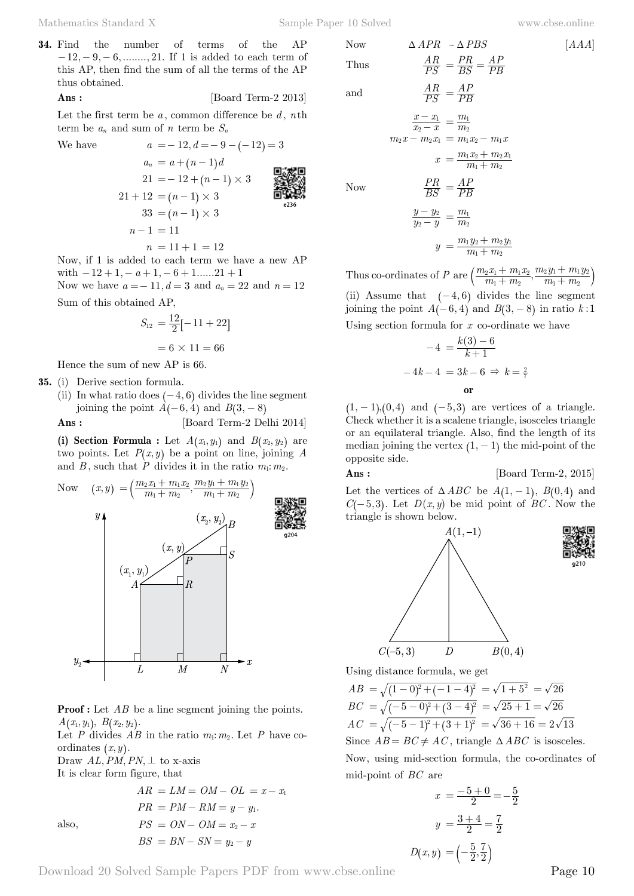**34.** Find the number of terms of the AP  $-12, -9, -6, \dots, 21$ . If 1 is added to each term of this AP, then find the sum of all the terms of the AP thus obtained.

**Ans :** [Board Term-2 2013]

Let the first term be  $a$ , common difference be  $d$ ,  $n$ th term be  $a_n$  and sum of  $n$  term be  $S_n$ 

We have  $a = -12, d = -9 - (-12) = 3$ 

$$
a_n = a + (n-1)d
$$
  
\n
$$
21 = -12 + (n-1) \times 3
$$
  
\n
$$
21 + 12 = (n-1) \times 3
$$
  
\n
$$
33 = (n-1) \times 3
$$
  
\n
$$
n-1 = 11
$$
  
\n
$$
n = 11 + 1 = 12
$$

Now, if 1 is added to each term we have a new AP with  $-12 + 1, -a+1, -6 + 1$ ......21 + 1 Now we have  $a = -11$ ,  $d = 3$  and  $a_n = 22$  and  $n = 12$ 

Sum of this obtained AP,

$$
S_{12} = \frac{12}{2}[-11 + 22]
$$

$$
= 6 \times 11 = 66
$$

Hence the sum of new AP is 66.

**35.** (i) Derive section formula.

(ii) In what ratio does  $(-4, 6)$  divides the line segment joining the point  $A(-6, 4)$  and  $B(3, -8)$ 

**Ans :** [Board Term-2 Delhi 2014]

(i) Section Formula : Let  $A(x_1, y_1)$  and  $B(x_2, y_2)$  are two points. Let  $P(x, y)$  be a point on line, joining *A* and *B*, such that  $\dot{P}$  divides it in the ratio  $m_1$ :  $m_2$ .



**Proof :** Let AB be a line segment joining the points.  $A(x_1, y_1), B(x_2, y_2)$ .

Let *P* divides  $AB$  in the ratio  $m_1$ :  $m_2$ . Let *P* have coordinates  $(x, y)$ .

Draw  $AL, PM, PN, \perp$  to x-axis It is clear form figure, that

$$
AR = LM = OM - OL = x - x_1
$$
  
\n
$$
PR = PM - RM = y - y_1.
$$
  
\nalso,  
\n
$$
PS = ON - OM = x_2 - x
$$
  
\n
$$
BS = BN - SN = y_2 - y
$$

Now 
$$
\triangle APR \sim \triangle PBS
$$
 [AAA]  
Thus  $\frac{AR}{PS} = \frac{PR}{BS} = \frac{AP}{PB}$ 

and  $\frac{AR}{PS}$ 

 $Now$ 

$$
\frac{AR}{PS} = \frac{AP}{PB}
$$
\n
$$
\frac{x - x_1}{x_2 - x} = \frac{m_1}{m_2}
$$
\n
$$
m_2 x - m_2 x_1 = m_1 x_2 - m_1 x
$$
\n
$$
x = \frac{m_1 x_2 + m_2 x_1}{m_1 + m_2}
$$
\n
$$
\frac{PR}{BS} = \frac{AP}{PB}
$$
\n
$$
\frac{y - y_2}{y_2 - y} = \frac{m_1}{m_2}
$$

*BS PR*

$$
y = \frac{m_1 y_2 + m_2 y_1}{m_1 + m_2}
$$

Thus co-ordinates of *P* are  $\left(\frac{m_2x_1 + m_1x_2}{m_1 + m_2},\right)$  $m_1 + m$  $m_2 y_1 + m_1 y_2$  $v_1 + m_2$  $x_2 x_1 + m_1 x_2$  $v_1 + m_2$  $\frac{m_1 x_2}{m_1 + m_2}, \frac{m_2 y_1 + m_1 y_2}{m_1 + m_2}$  $^{+}$  $\left(\frac{m_2x_1+m_1x_2}{m_1+m_2}, \frac{m_2y_1+m_1y_2}{m_1+m_2}\right)$ (ii) Assume that  $(-4, 6)$  divides the line segment

joining the point  $A(-6, 4)$  and  $B(3, -8)$  in ratio  $k:1$ Using section formula for *x* co-ordinate we have

$$
-4 = \frac{k(3) - 6}{k+1}
$$

$$
-4k - 4 = 3k - 6 \Rightarrow k = \frac{2}{7}
$$
  
or

 $(1, -1)$ ,  $(0, 4)$  and  $(-5, 3)$  are vertices of a triangle. Check whether it is a scalene triangle, isosceles triangle or an equilateral triangle. Also, find the length of its median joining the vertex  $(1, -1)$  the mid-point of the opposite side.

# **Ans :** [Board Term-2, 2015]

Let the vertices of  $\triangle ABC$  be  $A(1, -1)$ ,  $B(0, 4)$  and *C* $(-5, 3)$ . Let *D* $(x, y)$  be mid point of *BC*. Now the triangle is shown below.



Using distance formula, we get

 $AB = \sqrt{(1-0)^2 + (-1-4)^2} = \sqrt{1+5^2} = \sqrt{26}$  $BC = \sqrt{(-5-0)^2 + (3-4)^2} = \sqrt{25+1} = \sqrt{26}$  $AC = \sqrt{(-5-1)^2 + (3+1)^2} = \sqrt{36+16} = 2\sqrt{13}$ Since  $AB = BC \neq AC$ , triangle  $\triangle ABC$  is isosceles. Now, using mid-section formula, the co-ordinates of mid-point of *BC* are

$$
x = \frac{-5+0}{2} = -\frac{5}{2}
$$

$$
y = \frac{3+4}{2} = \frac{7}{2}
$$

$$
D(x, y) = \left(-\frac{5}{2}, \frac{7}{2}\right)
$$

Download 20 Solved Sample Papers PDF from [www.cbse.online](http://www.cbse.online) Page 10